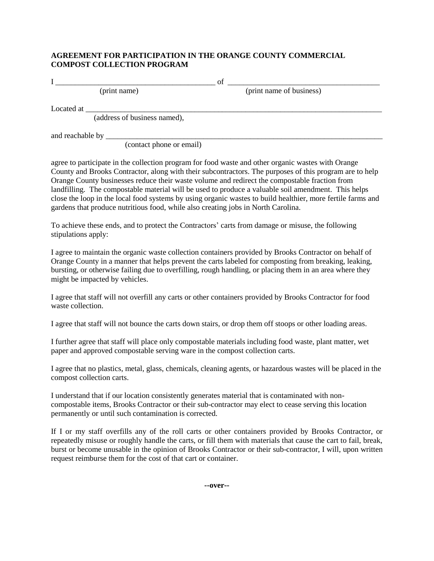## **AGREEMENT FOR PARTICIPATION IN THE ORANGE COUNTY COMMERCIAL COMPOST COLLECTION PROGRAM**

I \_\_\_\_\_\_\_\_\_\_\_\_\_\_\_\_\_\_\_\_\_\_\_\_\_\_\_\_\_\_\_\_\_\_\_\_\_\_\_\_\_ of \_\_\_\_\_\_\_\_\_\_\_\_\_\_\_\_\_\_\_\_\_\_\_\_\_\_\_\_\_\_\_\_\_\_\_\_\_\_\_ (print name) (print name of business) Located at \_\_\_\_\_\_\_\_\_\_\_\_\_\_\_\_\_\_\_\_\_\_\_\_\_\_\_\_\_\_\_\_\_\_\_\_\_\_\_\_\_\_\_\_\_\_\_\_\_\_\_\_\_\_\_\_\_\_\_\_\_\_\_\_\_\_\_\_\_\_\_\_\_\_\_\_ (address of business named),

and reachable by \_\_\_\_\_\_\_\_\_\_\_\_\_\_\_\_\_\_\_\_\_\_\_\_\_\_\_\_\_\_\_\_\_\_\_\_\_\_\_\_\_\_\_\_\_\_\_\_\_\_\_\_\_\_\_\_\_\_\_\_\_\_\_\_\_\_\_\_\_\_\_

(contact phone or email)

agree to participate in the collection program for food waste and other organic wastes with Orange County and Brooks Contractor, along with their subcontractors. The purposes of this program are to help Orange County businesses reduce their waste volume and redirect the compostable fraction from landfilling. The compostable material will be used to produce a valuable soil amendment. This helps close the loop in the local food systems by using organic wastes to build healthier, more fertile farms and gardens that produce nutritious food, while also creating jobs in North Carolina.

To achieve these ends, and to protect the Contractors' carts from damage or misuse, the following stipulations apply:

I agree to maintain the organic waste collection containers provided by Brooks Contractor on behalf of Orange County in a manner that helps prevent the carts labeled for composting from breaking, leaking, bursting, or otherwise failing due to overfilling, rough handling, or placing them in an area where they might be impacted by vehicles.

I agree that staff will not overfill any carts or other containers provided by Brooks Contractor for food waste collection.

I agree that staff will not bounce the carts down stairs, or drop them off stoops or other loading areas.

I further agree that staff will place only compostable materials including food waste, plant matter, wet paper and approved compostable serving ware in the compost collection carts.

I agree that no plastics, metal, glass, chemicals, cleaning agents, or hazardous wastes will be placed in the compost collection carts.

I understand that if our location consistently generates material that is contaminated with noncompostable items, Brooks Contractor or their sub-contractor may elect to cease serving this location permanently or until such contamination is corrected.

If I or my staff overfills any of the roll carts or other containers provided by Brooks Contractor, or repeatedly misuse or roughly handle the carts, or fill them with materials that cause the cart to fail, break, burst or become unusable in the opinion of Brooks Contractor or their sub-contractor, I will, upon written request reimburse them for the cost of that cart or container.

**--over--**